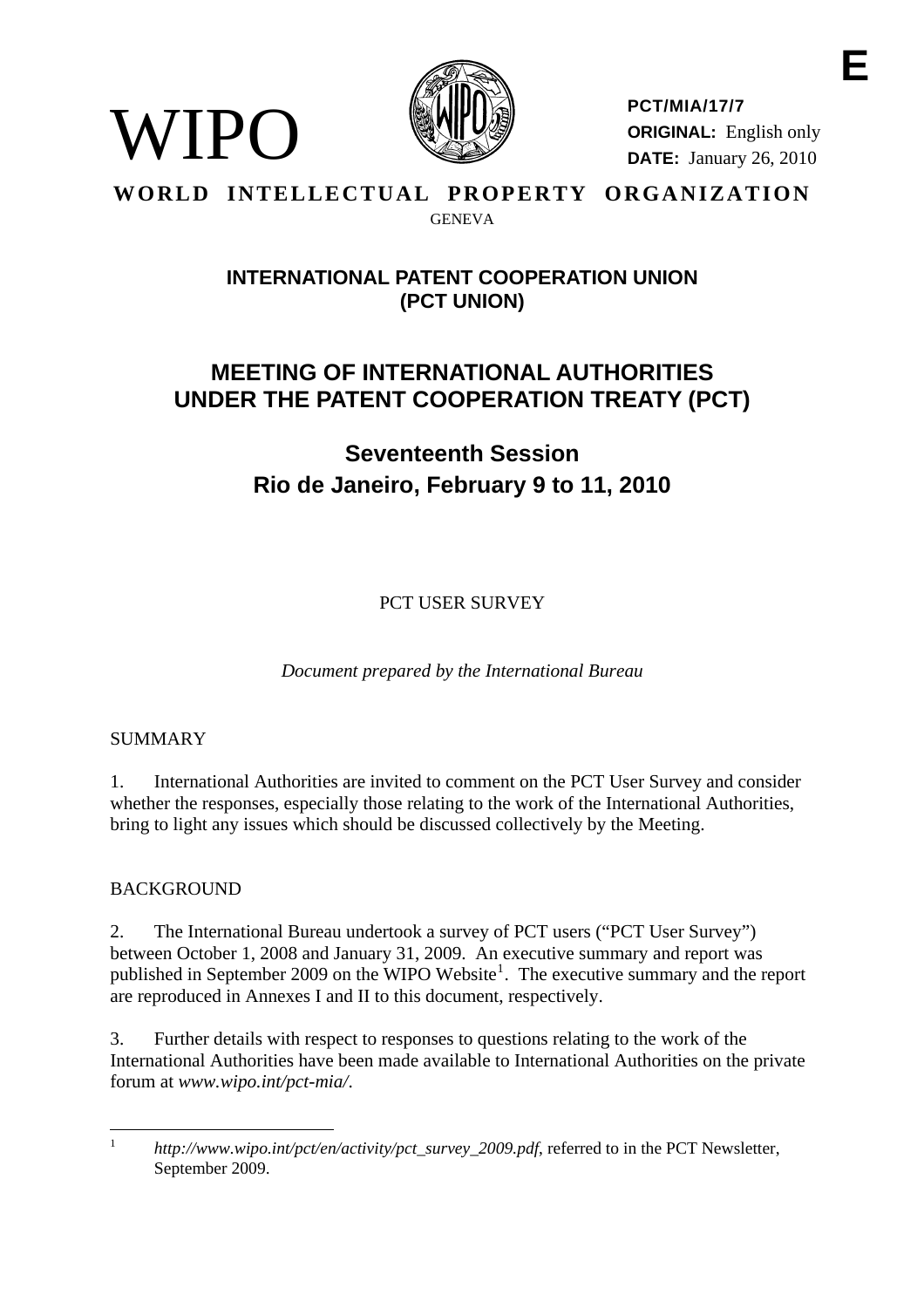

**PCT/MIA/17/7 ORIGINAL:** English only **DATE:** January 26, 2010

#### **WORLD INTELLECTUAL PROPERTY ORGANIZATION GENEVA**

## **INTERNATIONAL PATENT COOPERATION UNION (PCT UNION)**

# **MEETING OF INTERNATIONAL AUTHORITIES UNDER THE PATENT COOPERATION TREATY (PCT)**

**Seventeenth Session Rio de Janeiro, February 9 to 11, 2010** 

PCT USER SURVEY

*Document prepared by the International Bureau* 

## SUMMARY

WIPO

1. International Authorities are invited to comment on the PCT User Survey and consider whether the responses, especially those relating to the work of the International Authorities, bring to light any issues which should be discussed collectively by the Meeting.

## BACKGROUND

2. The International Bureau undertook a survey of PCT users ("PCT User Survey") between October 1, 2008 and January 31, 2009. An executive summary and report was published in September 2009 on the WIPO Website<sup>[1](#page-0-0)</sup>. The executive summary and the report are reproduced in Annexes I and II to this document, respectively.

3. Further details with respect to responses to questions relating to the work of the International Authorities have been made available to International Authorities on the private forum at *www.wipo.int/pct-mia/*.

<span id="page-0-0"></span> $\overline{a}$ 1 *http://www.wipo.int/pct/en/activity/pct\_survey\_2009.pdf*, referred to in the PCT Newsletter, September 2009.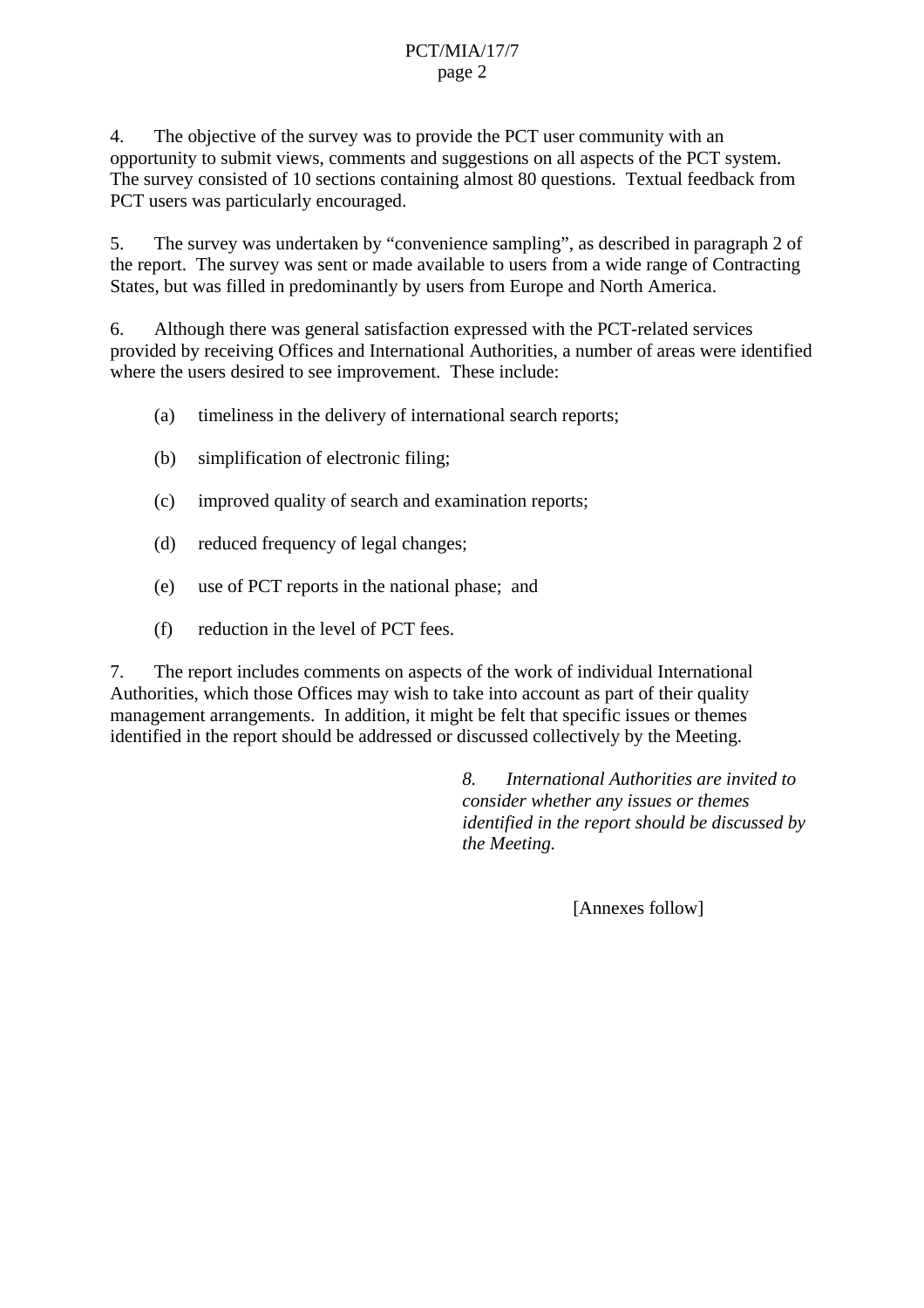#### PCT/MIA/17/7 page 2

4. The objective of the survey was to provide the PCT user community with an opportunity to submit views, comments and suggestions on all aspects of the PCT system. The survey consisted of 10 sections containing almost 80 questions. Textual feedback from PCT users was particularly encouraged.

5. The survey was undertaken by "convenience sampling", as described in paragraph 2 of the report. The survey was sent or made available to users from a wide range of Contracting States, but was filled in predominantly by users from Europe and North America.

6. Although there was general satisfaction expressed with the PCT-related services provided by receiving Offices and International Authorities, a number of areas were identified where the users desired to see improvement. These include:

- (a) timeliness in the delivery of international search reports;
- (b) simplification of electronic filing;
- (c) improved quality of search and examination reports;
- (d) reduced frequency of legal changes;
- (e) use of PCT reports in the national phase; and
- (f) reduction in the level of PCT fees.

7. The report includes comments on aspects of the work of individual International Authorities, which those Offices may wish to take into account as part of their quality management arrangements. In addition, it might be felt that specific issues or themes identified in the report should be addressed or discussed collectively by the Meeting.

> *8. International Authorities are invited to consider whether any issues or themes identified in the report should be discussed by the Meeting.*

> > [Annexes follow]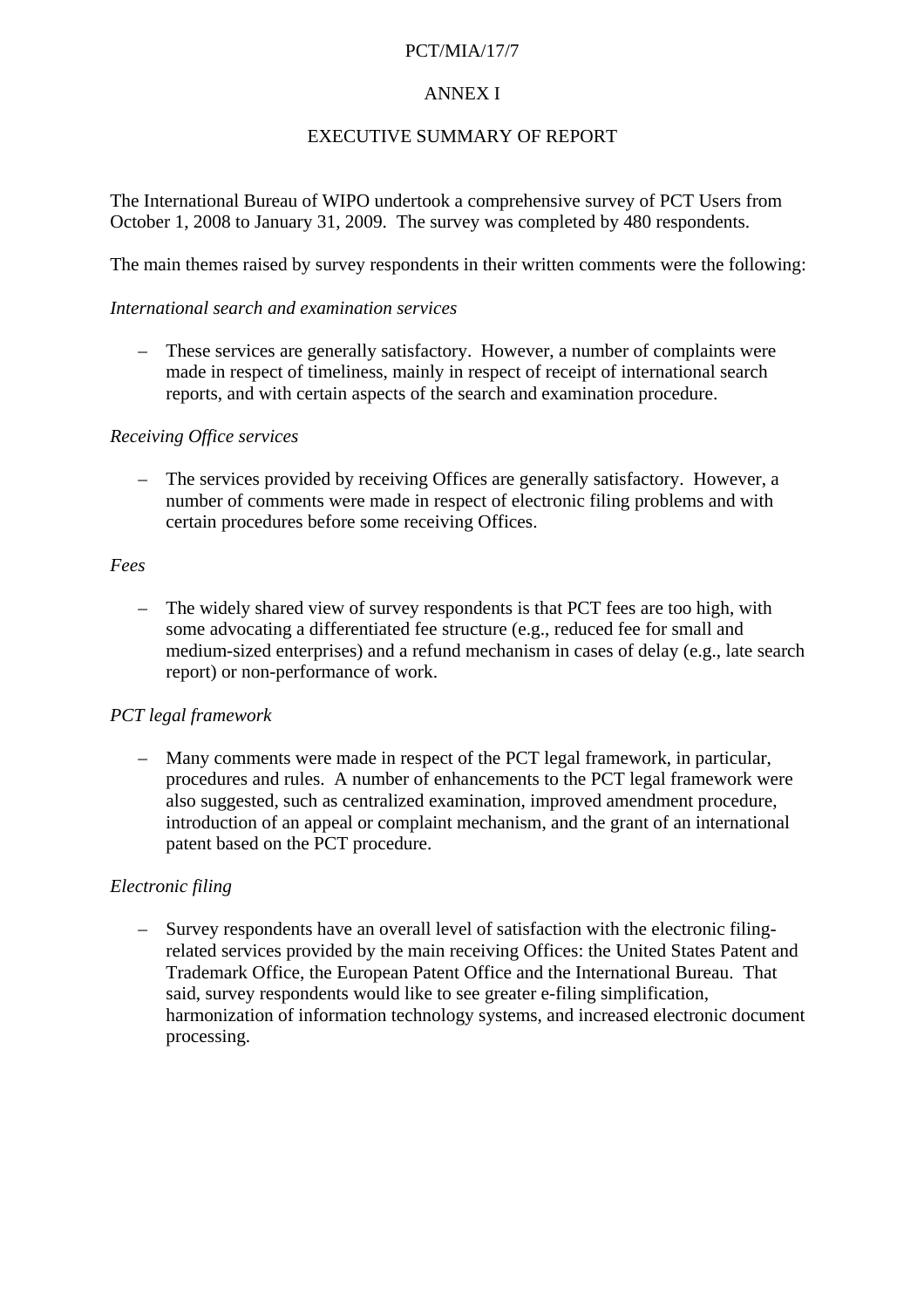#### PCT/MIA/17/7

#### ANNEX I

#### EXECUTIVE SUMMARY OF REPORT

The International Bureau of WIPO undertook a comprehensive survey of PCT Users from October 1, 2008 to January 31, 2009. The survey was completed by 480 respondents.

The main themes raised by survey respondents in their written comments were the following:

#### *International search and examination services*

– These services are generally satisfactory. However, a number of complaints were made in respect of timeliness, mainly in respect of receipt of international search reports, and with certain aspects of the search and examination procedure.

#### *Receiving Office services*

– The services provided by receiving Offices are generally satisfactory. However, a number of comments were made in respect of electronic filing problems and with certain procedures before some receiving Offices.

#### *Fees*

– The widely shared view of survey respondents is that PCT fees are too high, with some advocating a differentiated fee structure (e.g., reduced fee for small and medium-sized enterprises) and a refund mechanism in cases of delay (e.g., late search report) or non-performance of work.

#### *PCT legal framework*

– Many comments were made in respect of the PCT legal framework, in particular, procedures and rules. A number of enhancements to the PCT legal framework were also suggested, such as centralized examination, improved amendment procedure, introduction of an appeal or complaint mechanism, and the grant of an international patent based on the PCT procedure.

#### *Electronic filing*

– Survey respondents have an overall level of satisfaction with the electronic filingrelated services provided by the main receiving Offices: the United States Patent and Trademark Office, the European Patent Office and the International Bureau. That said, survey respondents would like to see greater e-filing simplification, harmonization of information technology systems, and increased electronic document processing.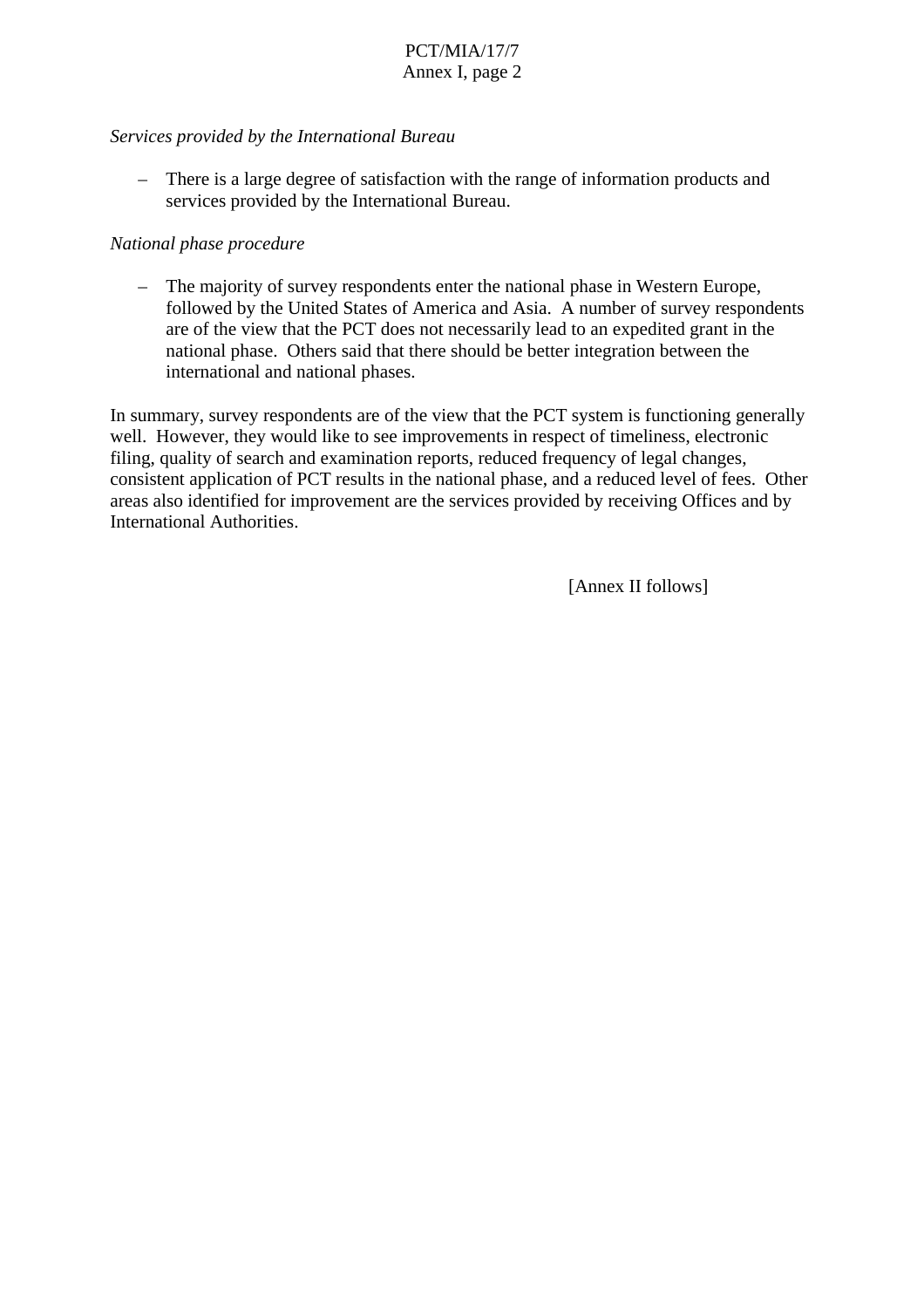#### *Services provided by the International Bureau*

– There is a large degree of satisfaction with the range of information products and services provided by the International Bureau.

#### *National phase procedure*

– The majority of survey respondents enter the national phase in Western Europe, followed by the United States of America and Asia. A number of survey respondents are of the view that the PCT does not necessarily lead to an expedited grant in the national phase. Others said that there should be better integration between the international and national phases.

In summary, survey respondents are of the view that the PCT system is functioning generally well. However, they would like to see improvements in respect of timeliness, electronic filing, quality of search and examination reports, reduced frequency of legal changes, consistent application of PCT results in the national phase, and a reduced level of fees. Other areas also identified for improvement are the services provided by receiving Offices and by International Authorities.

[Annex II follows]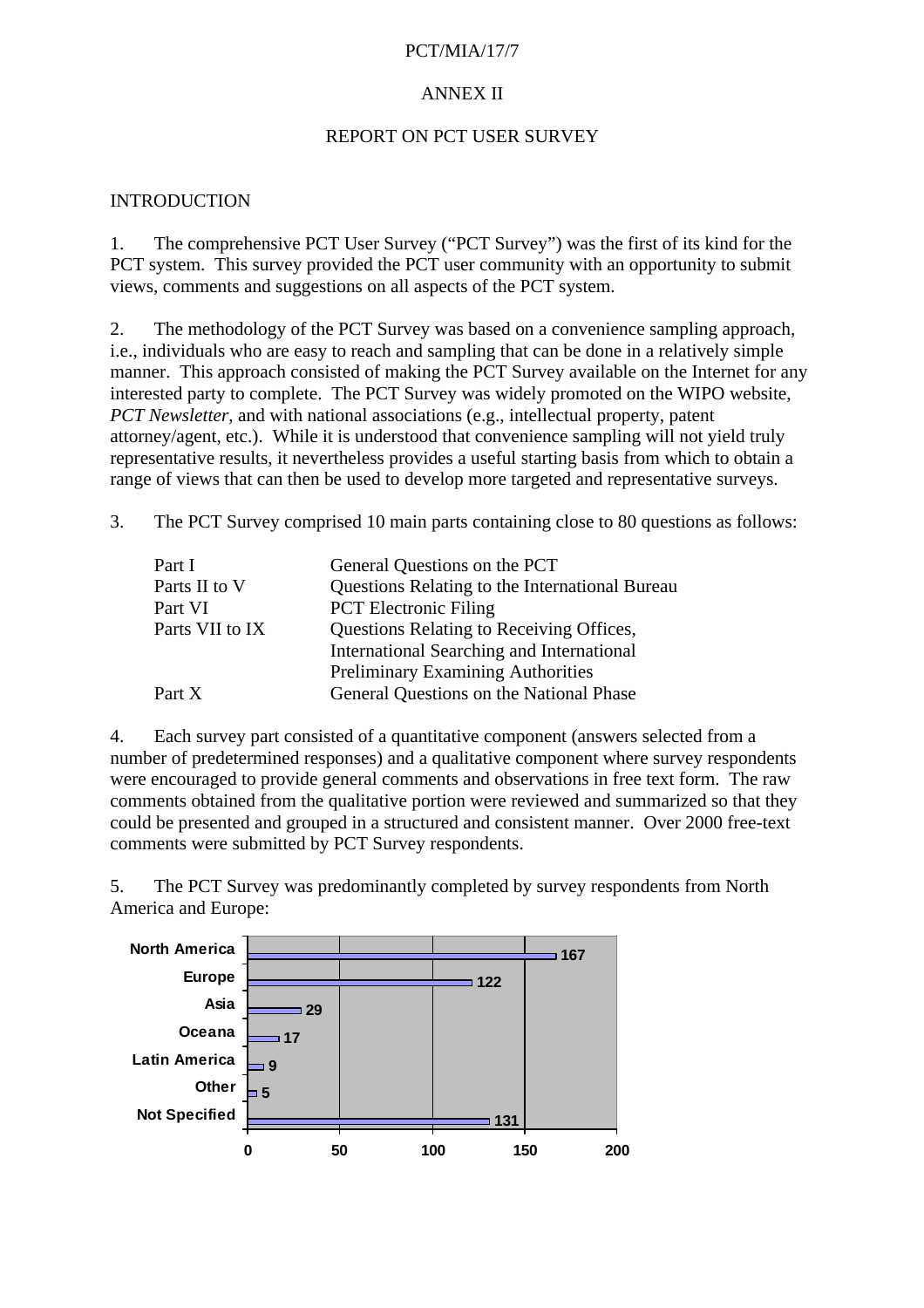#### PCT/MIA/17/7

#### ANNEX II

#### REPORT ON PCT USER SURVEY

#### INTRODUCTION

1. The comprehensive PCT User Survey ("PCT Survey") was the first of its kind for the PCT system. This survey provided the PCT user community with an opportunity to submit views, comments and suggestions on all aspects of the PCT system.

2. The methodology of the PCT Survey was based on a convenience sampling approach, i.e., individuals who are easy to reach and sampling that can be done in a relatively simple manner. This approach consisted of making the PCT Survey available on the Internet for any interested party to complete. The PCT Survey was widely promoted on the WIPO website, *PCT Newsletter*, and with national associations (e.g., intellectual property, patent attorney/agent, etc.). While it is understood that convenience sampling will not yield truly representative results, it nevertheless provides a useful starting basis from which to obtain a range of views that can then be used to develop more targeted and representative surveys.

3. The PCT Survey comprised 10 main parts containing close to 80 questions as follows:

| Questions Relating to the International Bureau  |
|-------------------------------------------------|
|                                                 |
| <b>Questions Relating to Receiving Offices,</b> |
| International Searching and International       |
| <b>Preliminary Examining Authorities</b>        |
| General Questions on the National Phase         |
|                                                 |

4. Each survey part consisted of a quantitative component (answers selected from a number of predetermined responses) and a qualitative component where survey respondents were encouraged to provide general comments and observations in free text form. The raw comments obtained from the qualitative portion were reviewed and summarized so that they could be presented and grouped in a structured and consistent manner. Over 2000 free-text comments were submitted by PCT Survey respondents.

5. The PCT Survey was predominantly completed by survey respondents from North America and Europe:

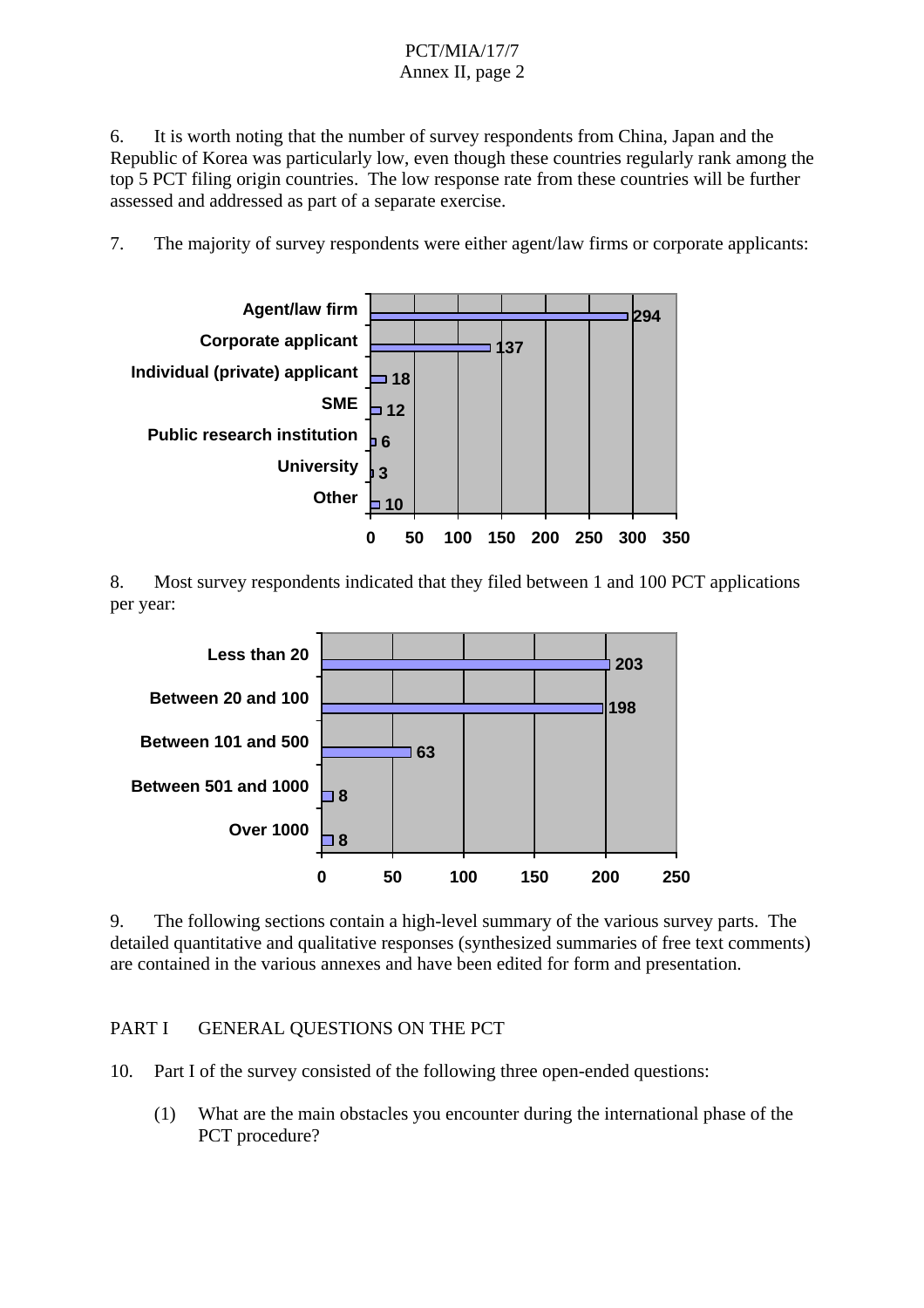6. It is worth noting that the number of survey respondents from China, Japan and the Republic of Korea was particularly low, even though these countries regularly rank among the top 5 PCT filing origin countries. The low response rate from these countries will be further assessed and addressed as part of a separate exercise.

7. The majority of survey respondents were either agent/law firms or corporate applicants:



8. Most survey respondents indicated that they filed between 1 and 100 PCT applications per year:



9. The following sections contain a high-level summary of the various survey parts. The detailed quantitative and qualitative responses (synthesized summaries of free text comments) are contained in the various annexes and have been edited for form and presentation.

PART I GENERAL OUESTIONS ON THE PCT

10. Part I of the survey consisted of the following three open-ended questions:

 (1) What are the main obstacles you encounter during the international phase of the PCT procedure?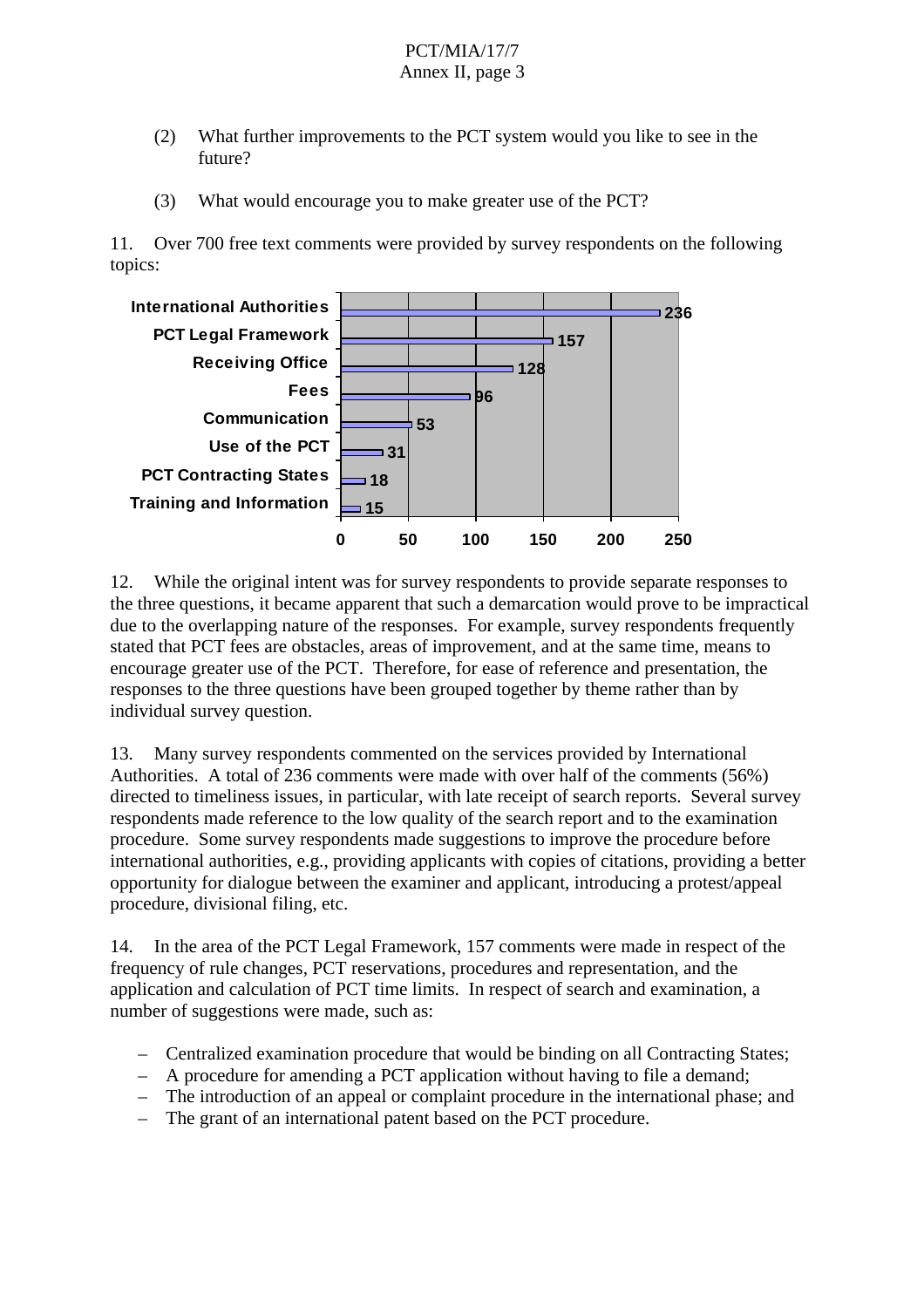- (2) What further improvements to the PCT system would you like to see in the future?
- (3) What would encourage you to make greater use of the PCT?

11. Over 700 free text comments were provided by survey respondents on the following topics:



12. While the original intent was for survey respondents to provide separate responses to the three questions, it became apparent that such a demarcation would prove to be impractical due to the overlapping nature of the responses. For example, survey respondents frequently stated that PCT fees are obstacles, areas of improvement, and at the same time, means to encourage greater use of the PCT. Therefore, for ease of reference and presentation, the responses to the three questions have been grouped together by theme rather than by individual survey question.

13. Many survey respondents commented on the services provided by International Authorities. A total of 236 comments were made with over half of the comments (56%) directed to timeliness issues, in particular, with late receipt of search reports. Several survey respondents made reference to the low quality of the search report and to the examination procedure. Some survey respondents made suggestions to improve the procedure before international authorities, e.g., providing applicants with copies of citations, providing a better opportunity for dialogue between the examiner and applicant, introducing a protest/appeal procedure, divisional filing, etc.

14. In the area of the PCT Legal Framework, 157 comments were made in respect of the frequency of rule changes, PCT reservations, procedures and representation, and the application and calculation of PCT time limits. In respect of search and examination, a number of suggestions were made, such as:

- Centralized examination procedure that would be binding on all Contracting States;
- A procedure for amending a PCT application without having to file a demand;
- The introduction of an appeal or complaint procedure in the international phase; and
- The grant of an international patent based on the PCT procedure.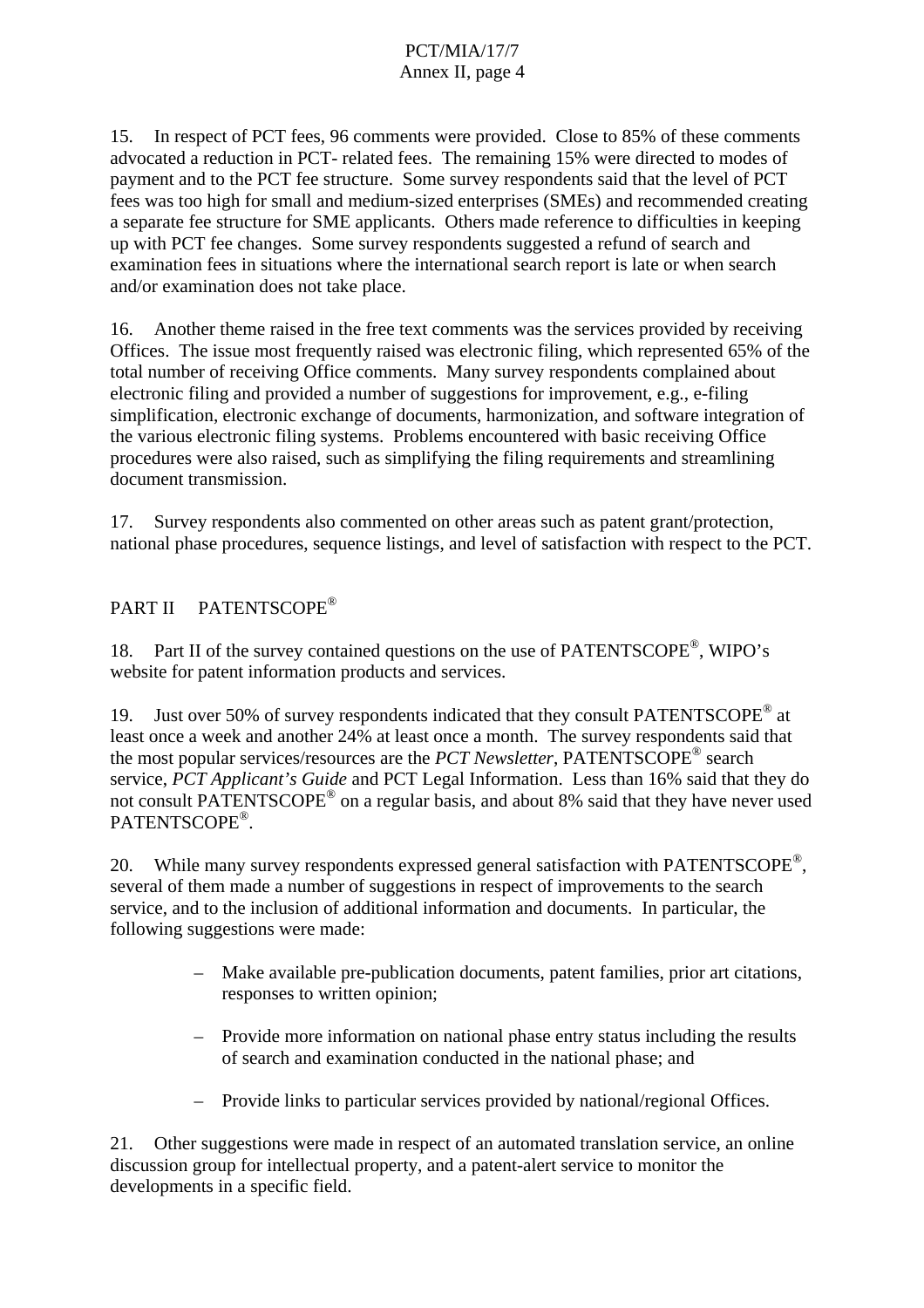15. In respect of PCT fees, 96 comments were provided. Close to 85% of these comments advocated a reduction in PCT- related fees. The remaining 15% were directed to modes of payment and to the PCT fee structure. Some survey respondents said that the level of PCT fees was too high for small and medium-sized enterprises (SMEs) and recommended creating a separate fee structure for SME applicants. Others made reference to difficulties in keeping up with PCT fee changes. Some survey respondents suggested a refund of search and examination fees in situations where the international search report is late or when search and/or examination does not take place.

16. Another theme raised in the free text comments was the services provided by receiving Offices. The issue most frequently raised was electronic filing, which represented 65% of the total number of receiving Office comments. Many survey respondents complained about electronic filing and provided a number of suggestions for improvement, e.g., e-filing simplification, electronic exchange of documents, harmonization, and software integration of the various electronic filing systems. Problems encountered with basic receiving Office procedures were also raised, such as simplifying the filing requirements and streamlining document transmission.

17. Survey respondents also commented on other areas such as patent grant/protection, national phase procedures, sequence listings, and level of satisfaction with respect to the PCT.

## PART II PATENTSCOPE®

18. Part II of the survey contained questions on the use of PATENTSCOPE<sup>®</sup>, WIPO's website for patent information products and services.

19. Just over 50% of survey respondents indicated that they consult PATENTSCOPE<sup>®</sup> at least once a week and another 24% at least once a month. The survey respondents said that the most popular services/resources are the *PCT Newsletter*, PATENTSCOPE® search service, *PCT Applicant's Guide* and PCT Legal Information. Less than 16% said that they do not consult PATENTSCOPE® on a regular basis, and about 8% said that they have never used PATENTSCOPE®.

20. While many survey respondents expressed general satisfaction with PATENTSCOPE®, several of them made a number of suggestions in respect of improvements to the search service, and to the inclusion of additional information and documents. In particular, the following suggestions were made:

- Make available pre-publication documents, patent families, prior art citations, responses to written opinion;
- Provide more information on national phase entry status including the results of search and examination conducted in the national phase; and
- Provide links to particular services provided by national/regional Offices.

21. Other suggestions were made in respect of an automated translation service, an online discussion group for intellectual property, and a patent-alert service to monitor the developments in a specific field.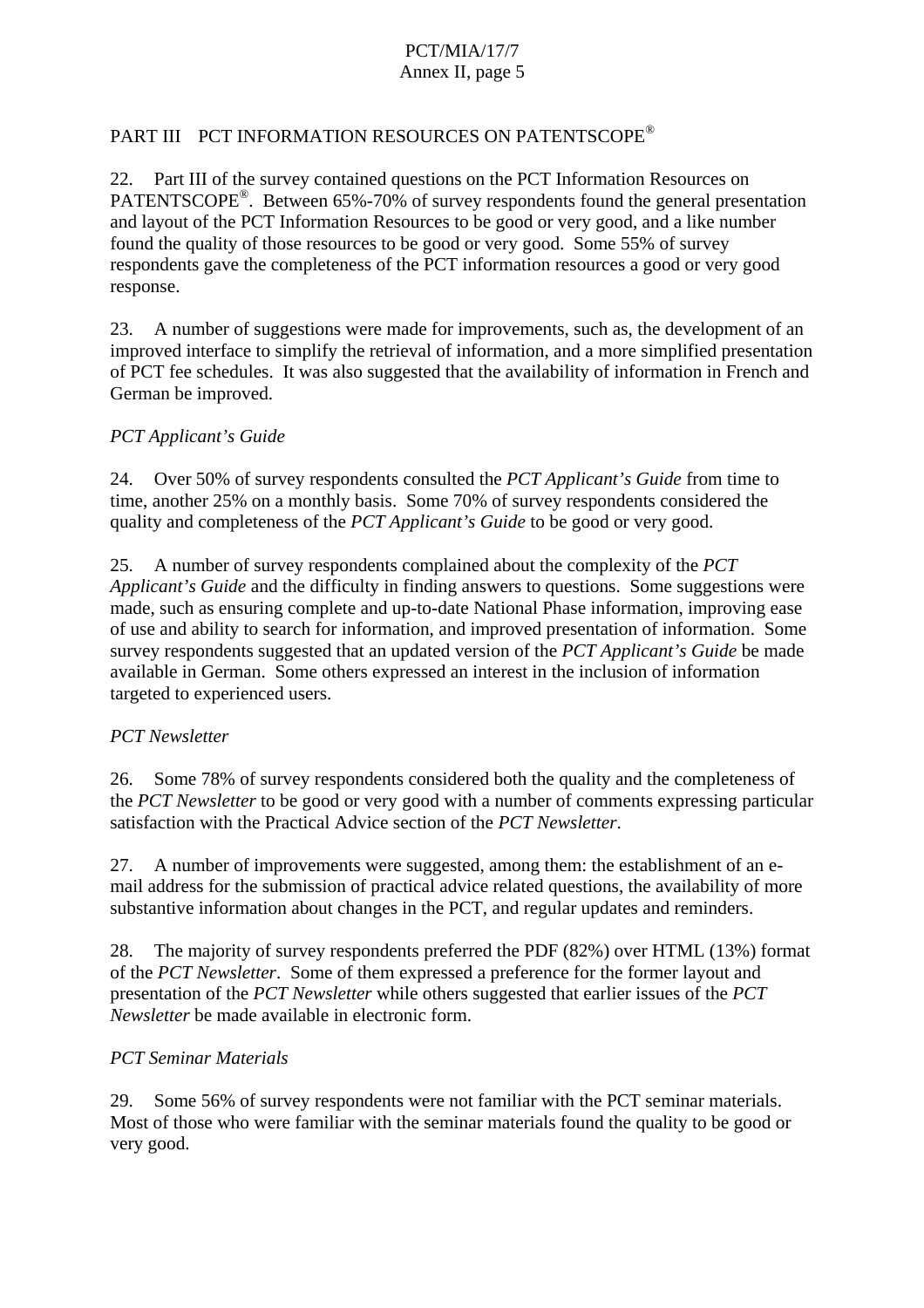## PART III PCT INFORMATION RESOURCES ON PATENTSCOPE®

22. Part III of the survey contained questions on the PCT Information Resources on PATENTSCOPE<sup>®</sup>. Between 65%-70% of survey respondents found the general presentation and layout of the PCT Information Resources to be good or very good, and a like number found the quality of those resources to be good or very good. Some 55% of survey respondents gave the completeness of the PCT information resources a good or very good response.

23. A number of suggestions were made for improvements, such as, the development of an improved interface to simplify the retrieval of information, and a more simplified presentation of PCT fee schedules. It was also suggested that the availability of information in French and German be improved.

#### *PCT Applicant's Guide*

24. Over 50% of survey respondents consulted the *PCT Applicant's Guide* from time to time, another 25% on a monthly basis. Some 70% of survey respondents considered the quality and completeness of the *PCT Applicant's Guide* to be good or very good.

25. A number of survey respondents complained about the complexity of the *PCT Applicant's Guide* and the difficulty in finding answers to questions. Some suggestions were made, such as ensuring complete and up-to-date National Phase information, improving ease of use and ability to search for information, and improved presentation of information. Some survey respondents suggested that an updated version of the *PCT Applicant's Guide* be made available in German. Some others expressed an interest in the inclusion of information targeted to experienced users.

#### *PCT Newsletter*

26. Some 78% of survey respondents considered both the quality and the completeness of the *PCT Newsletter* to be good or very good with a number of comments expressing particular satisfaction with the Practical Advice section of the *PCT Newsletter*.

27. A number of improvements were suggested, among them: the establishment of an email address for the submission of practical advice related questions, the availability of more substantive information about changes in the PCT, and regular updates and reminders.

28. The majority of survey respondents preferred the PDF (82%) over HTML (13%) format of the *PCT Newsletter*. Some of them expressed a preference for the former layout and presentation of the *PCT Newsletter* while others suggested that earlier issues of the *PCT Newsletter* be made available in electronic form.

#### *PCT Seminar Materials*

29. Some 56% of survey respondents were not familiar with the PCT seminar materials. Most of those who were familiar with the seminar materials found the quality to be good or very good.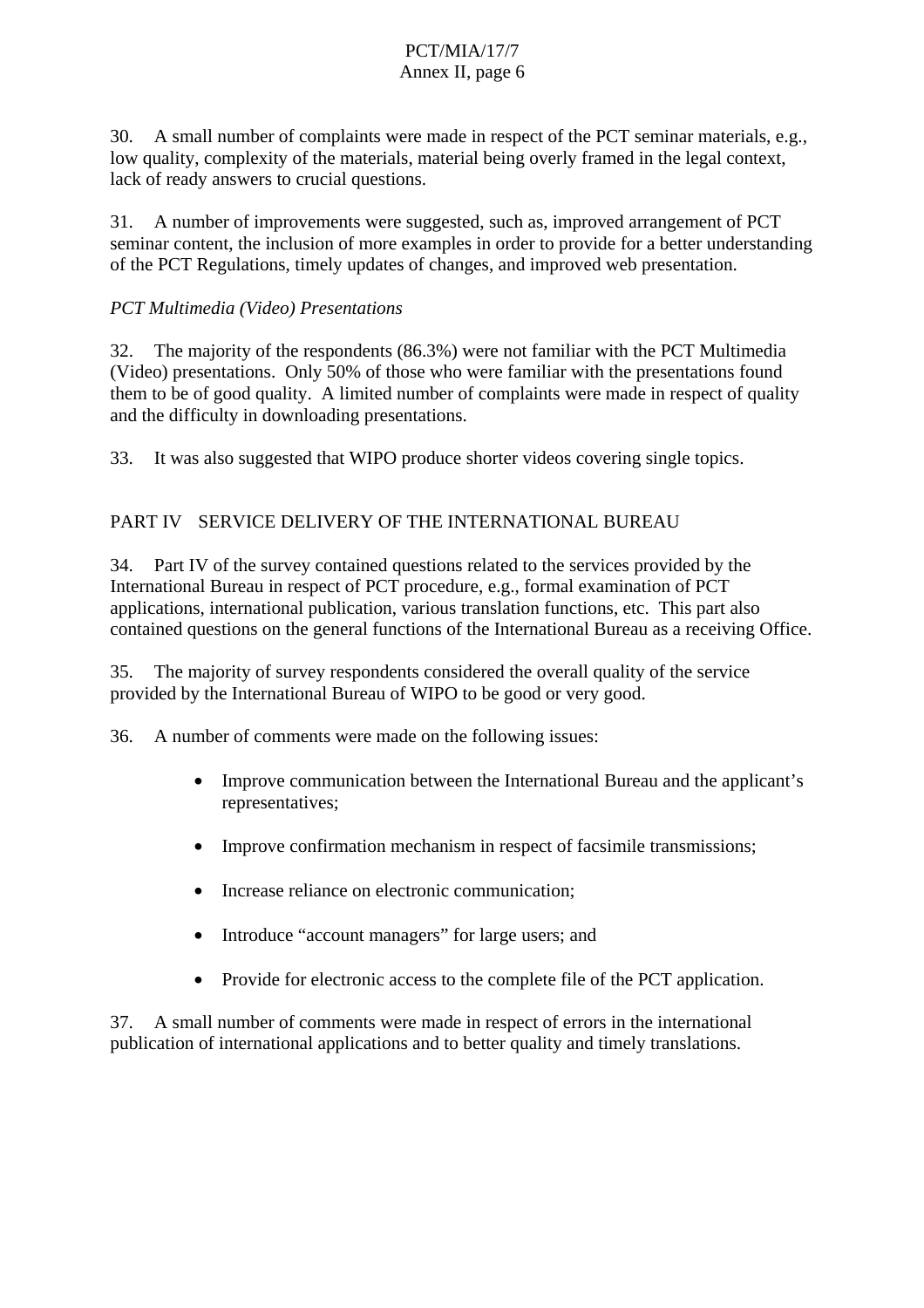30. A small number of complaints were made in respect of the PCT seminar materials, e.g., low quality, complexity of the materials, material being overly framed in the legal context, lack of ready answers to crucial questions.

31. A number of improvements were suggested, such as, improved arrangement of PCT seminar content, the inclusion of more examples in order to provide for a better understanding of the PCT Regulations, timely updates of changes, and improved web presentation.

## *PCT Multimedia (Video) Presentations*

32. The majority of the respondents (86.3%) were not familiar with the PCT Multimedia (Video) presentations. Only 50% of those who were familiar with the presentations found them to be of good quality. A limited number of complaints were made in respect of quality and the difficulty in downloading presentations.

33. It was also suggested that WIPO produce shorter videos covering single topics.

## PART IV SERVICE DELIVERY OF THE INTERNATIONAL BUREAU

34. Part IV of the survey contained questions related to the services provided by the International Bureau in respect of PCT procedure, e.g., formal examination of PCT applications, international publication, various translation functions, etc. This part also contained questions on the general functions of the International Bureau as a receiving Office.

35. The majority of survey respondents considered the overall quality of the service provided by the International Bureau of WIPO to be good or very good.

36. A number of comments were made on the following issues:

- Improve communication between the International Bureau and the applicant's representatives;
- Improve confirmation mechanism in respect of facsimile transmissions;
- Increase reliance on electronic communication;
- Introduce "account managers" for large users; and
- Provide for electronic access to the complete file of the PCT application.

37. A small number of comments were made in respect of errors in the international publication of international applications and to better quality and timely translations.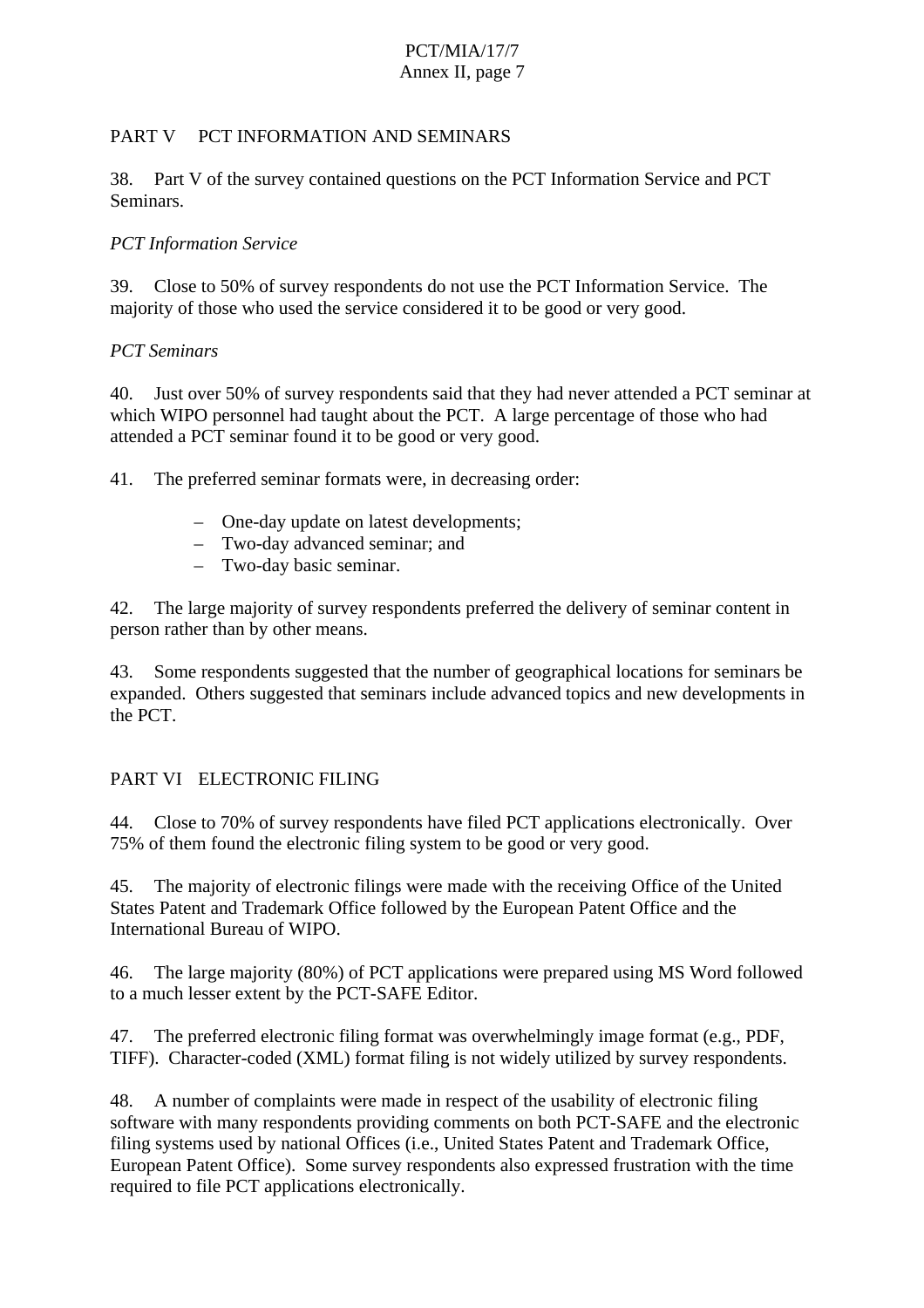### PART V PCT INFORMATION AND SEMINARS

38. Part V of the survey contained questions on the PCT Information Service and PCT Seminars.

### *PCT Information Service*

39. Close to 50% of survey respondents do not use the PCT Information Service. The majority of those who used the service considered it to be good or very good.

#### *PCT Seminars*

40. Just over 50% of survey respondents said that they had never attended a PCT seminar at which WIPO personnel had taught about the PCT. A large percentage of those who had attended a PCT seminar found it to be good or very good.

41. The preferred seminar formats were, in decreasing order:

- One-day update on latest developments;
- Two-day advanced seminar; and
- Two-day basic seminar.

42. The large majority of survey respondents preferred the delivery of seminar content in person rather than by other means.

43. Some respondents suggested that the number of geographical locations for seminars be expanded. Others suggested that seminars include advanced topics and new developments in the PCT.

## PART VI ELECTRONIC FILING

44. Close to 70% of survey respondents have filed PCT applications electronically. Over 75% of them found the electronic filing system to be good or very good.

45. The majority of electronic filings were made with the receiving Office of the United States Patent and Trademark Office followed by the European Patent Office and the International Bureau of WIPO.

46. The large majority (80%) of PCT applications were prepared using MS Word followed to a much lesser extent by the PCT-SAFE Editor.

47. The preferred electronic filing format was overwhelmingly image format (e.g., PDF, TIFF). Character-coded (XML) format filing is not widely utilized by survey respondents.

48. A number of complaints were made in respect of the usability of electronic filing software with many respondents providing comments on both PCT-SAFE and the electronic filing systems used by national Offices (i.e., United States Patent and Trademark Office, European Patent Office). Some survey respondents also expressed frustration with the time required to file PCT applications electronically.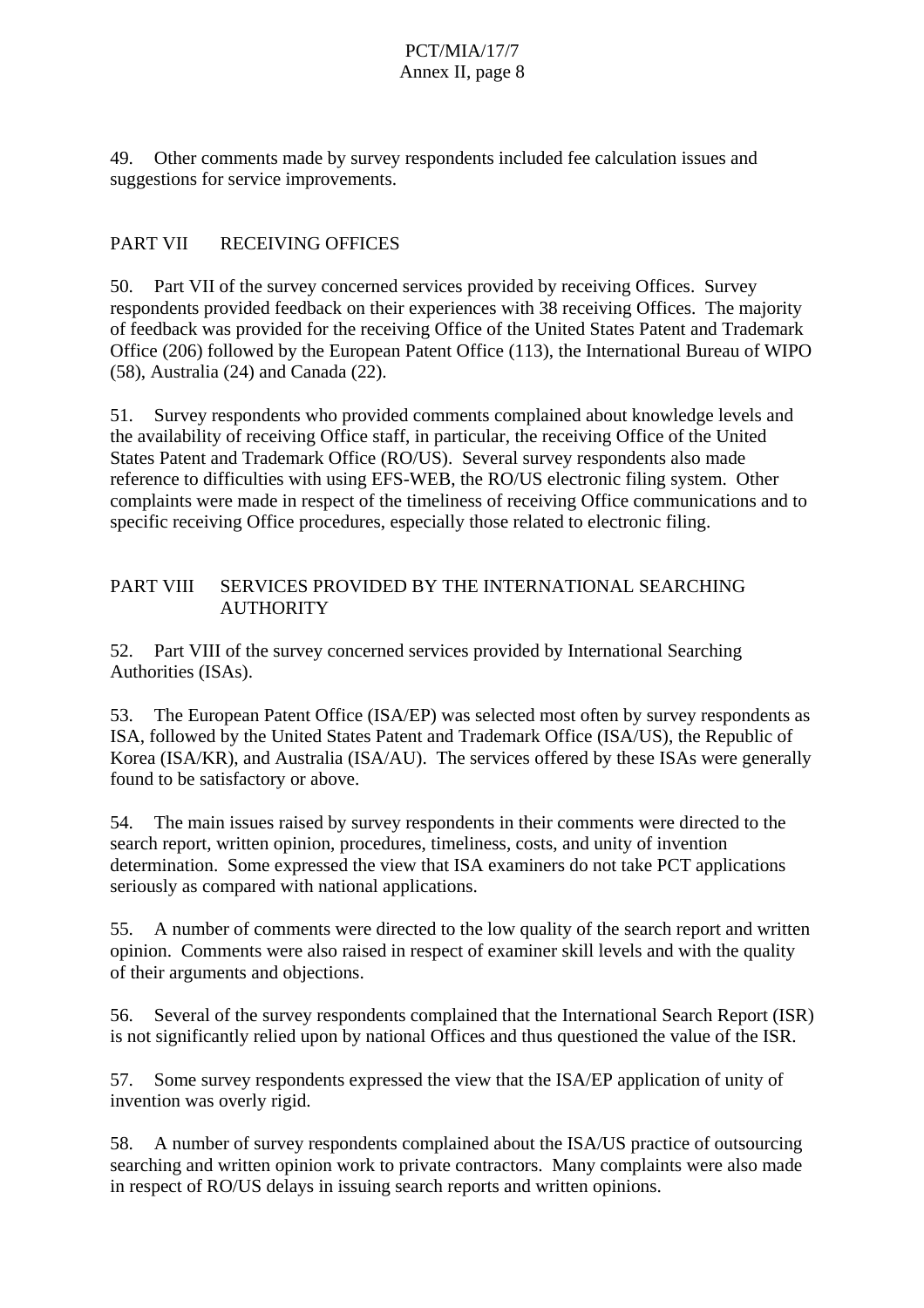49. Other comments made by survey respondents included fee calculation issues and suggestions for service improvements.

## PART VII RECEIVING OFFICES

50. Part VII of the survey concerned services provided by receiving Offices. Survey respondents provided feedback on their experiences with 38 receiving Offices. The majority of feedback was provided for the receiving Office of the United States Patent and Trademark Office (206) followed by the European Patent Office (113), the International Bureau of WIPO (58), Australia (24) and Canada (22).

51. Survey respondents who provided comments complained about knowledge levels and the availability of receiving Office staff, in particular, the receiving Office of the United States Patent and Trademark Office (RO/US). Several survey respondents also made reference to difficulties with using EFS-WEB, the RO/US electronic filing system. Other complaints were made in respect of the timeliness of receiving Office communications and to specific receiving Office procedures, especially those related to electronic filing.

#### PART VIII SERVICES PROVIDED BY THE INTERNATIONAL SEARCHING **AUTHORITY**

52. Part VIII of the survey concerned services provided by International Searching Authorities (ISAs).

53. The European Patent Office (ISA/EP) was selected most often by survey respondents as ISA, followed by the United States Patent and Trademark Office (ISA/US), the Republic of Korea (ISA/KR), and Australia (ISA/AU). The services offered by these ISAs were generally found to be satisfactory or above.

54. The main issues raised by survey respondents in their comments were directed to the search report, written opinion, procedures, timeliness, costs, and unity of invention determination. Some expressed the view that ISA examiners do not take PCT applications seriously as compared with national applications.

55. A number of comments were directed to the low quality of the search report and written opinion. Comments were also raised in respect of examiner skill levels and with the quality of their arguments and objections.

56. Several of the survey respondents complained that the International Search Report (ISR) is not significantly relied upon by national Offices and thus questioned the value of the ISR.

57. Some survey respondents expressed the view that the ISA/EP application of unity of invention was overly rigid.

58. A number of survey respondents complained about the ISA/US practice of outsourcing searching and written opinion work to private contractors. Many complaints were also made in respect of RO/US delays in issuing search reports and written opinions.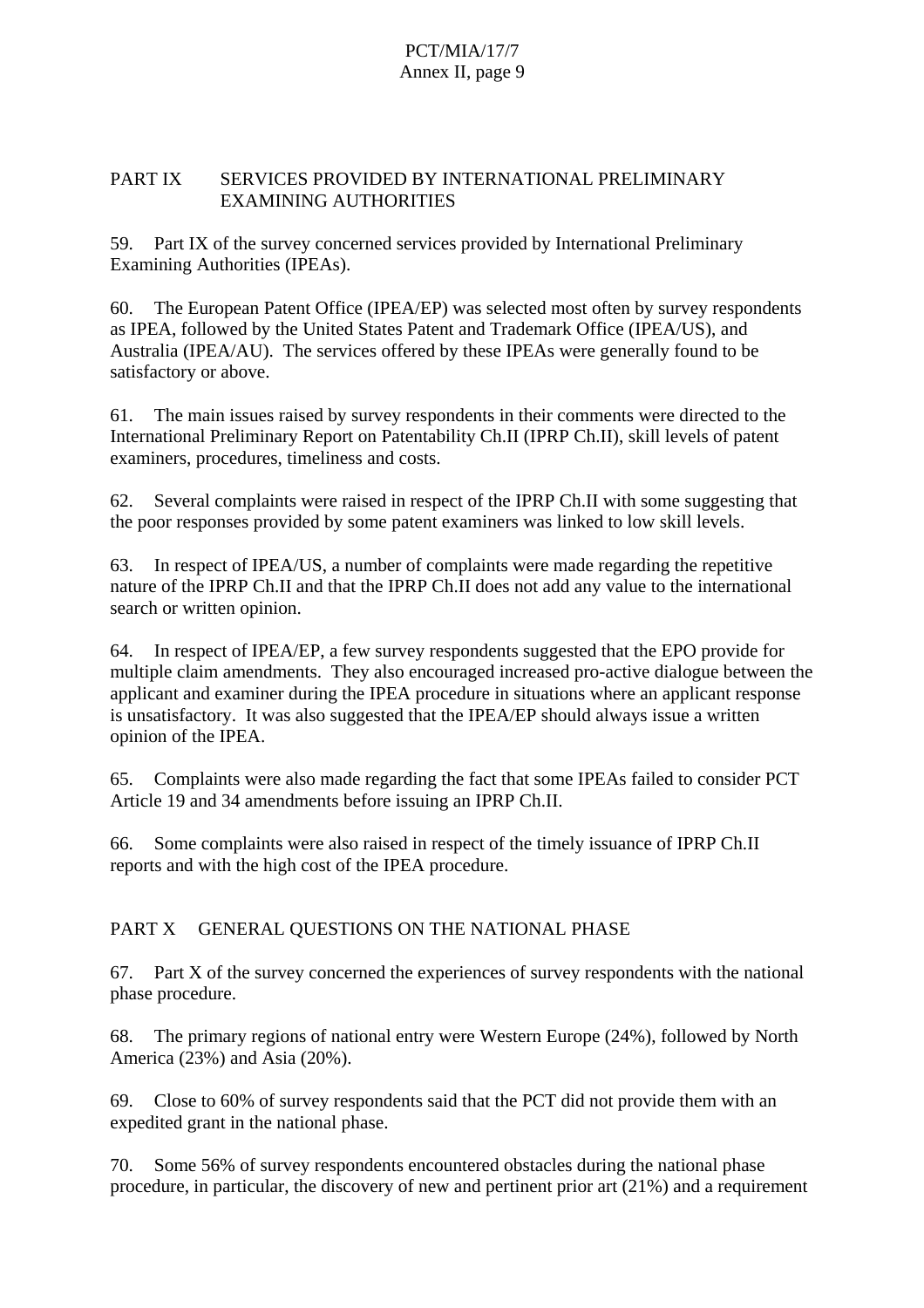### PART IX SERVICES PROVIDED BY INTERNATIONAL PRELIMINARY EXAMINING AUTHORITIES

59. Part IX of the survey concerned services provided by International Preliminary Examining Authorities (IPEAs).

60. The European Patent Office (IPEA/EP) was selected most often by survey respondents as IPEA, followed by the United States Patent and Trademark Office (IPEA/US), and Australia (IPEA/AU). The services offered by these IPEAs were generally found to be satisfactory or above.

61. The main issues raised by survey respondents in their comments were directed to the International Preliminary Report on Patentability Ch.II (IPRP Ch.II), skill levels of patent examiners, procedures, timeliness and costs.

62. Several complaints were raised in respect of the IPRP Ch.II with some suggesting that the poor responses provided by some patent examiners was linked to low skill levels.

63. In respect of IPEA/US, a number of complaints were made regarding the repetitive nature of the IPRP Ch.II and that the IPRP Ch.II does not add any value to the international search or written opinion.

64. In respect of IPEA/EP, a few survey respondents suggested that the EPO provide for multiple claim amendments. They also encouraged increased pro-active dialogue between the applicant and examiner during the IPEA procedure in situations where an applicant response is unsatisfactory. It was also suggested that the IPEA/EP should always issue a written opinion of the IPEA.

65. Complaints were also made regarding the fact that some IPEAs failed to consider PCT Article 19 and 34 amendments before issuing an IPRP Ch.II.

66. Some complaints were also raised in respect of the timely issuance of IPRP Ch.II reports and with the high cost of the IPEA procedure.

## PART X GENERAL OUESTIONS ON THE NATIONAL PHASE

67. Part X of the survey concerned the experiences of survey respondents with the national phase procedure.

68. The primary regions of national entry were Western Europe (24%), followed by North America (23%) and Asia (20%).

69. Close to 60% of survey respondents said that the PCT did not provide them with an expedited grant in the national phase.

70. Some 56% of survey respondents encountered obstacles during the national phase procedure, in particular, the discovery of new and pertinent prior art (21%) and a requirement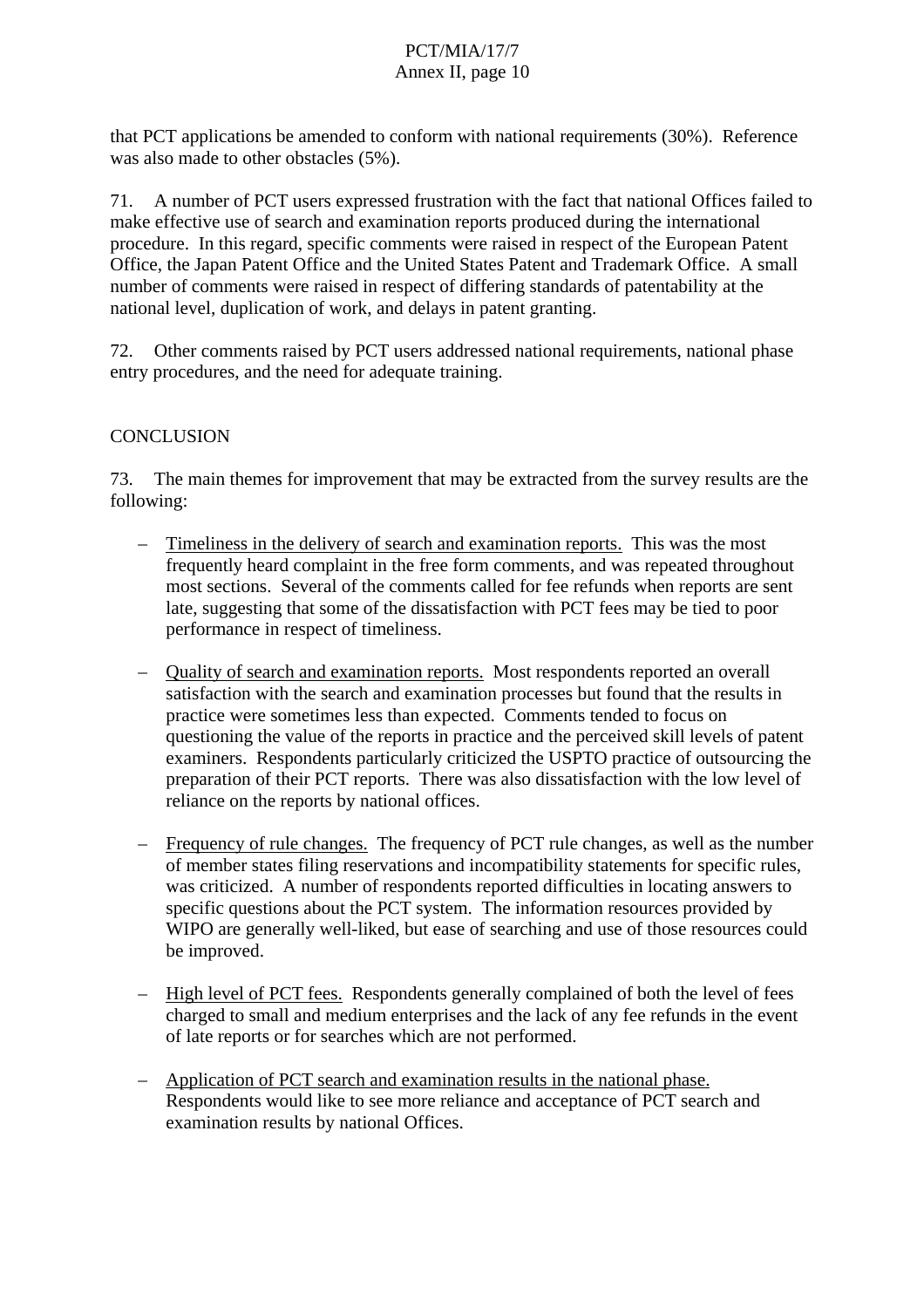that PCT applications be amended to conform with national requirements (30%). Reference was also made to other obstacles (5%).

71. A number of PCT users expressed frustration with the fact that national Offices failed to make effective use of search and examination reports produced during the international procedure. In this regard, specific comments were raised in respect of the European Patent Office, the Japan Patent Office and the United States Patent and Trademark Office. A small number of comments were raised in respect of differing standards of patentability at the national level, duplication of work, and delays in patent granting.

72. Other comments raised by PCT users addressed national requirements, national phase entry procedures, and the need for adequate training.

#### CONCLUSION

73. The main themes for improvement that may be extracted from the survey results are the following:

- Timeliness in the delivery of search and examination reports. This was the most frequently heard complaint in the free form comments, and was repeated throughout most sections. Several of the comments called for fee refunds when reports are sent late, suggesting that some of the dissatisfaction with PCT fees may be tied to poor performance in respect of timeliness.
- Quality of search and examination reports. Most respondents reported an overall satisfaction with the search and examination processes but found that the results in practice were sometimes less than expected. Comments tended to focus on questioning the value of the reports in practice and the perceived skill levels of patent examiners. Respondents particularly criticized the USPTO practice of outsourcing the preparation of their PCT reports. There was also dissatisfaction with the low level of reliance on the reports by national offices.
- Frequency of rule changes. The frequency of PCT rule changes, as well as the number of member states filing reservations and incompatibility statements for specific rules, was criticized. A number of respondents reported difficulties in locating answers to specific questions about the PCT system. The information resources provided by WIPO are generally well-liked, but ease of searching and use of those resources could be improved.
- High level of PCT fees. Respondents generally complained of both the level of fees charged to small and medium enterprises and the lack of any fee refunds in the event of late reports or for searches which are not performed.
- Application of PCT search and examination results in the national phase. Respondents would like to see more reliance and acceptance of PCT search and examination results by national Offices.